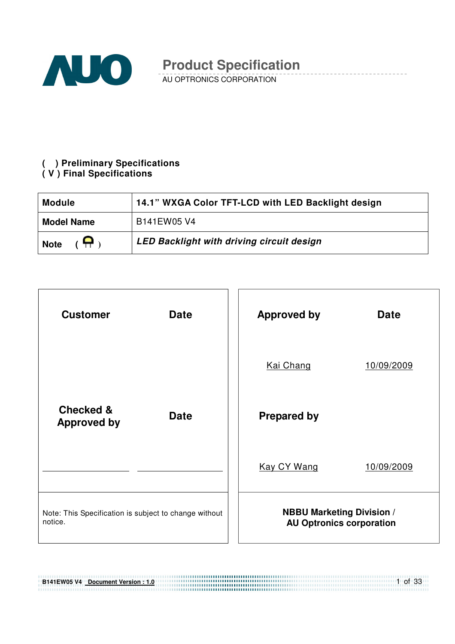

AU OPTRONICS CORPORATION

#### **( ) Preliminary Specifications ( V ) Final Specifications**

| <b>Module</b>             | 14.1" WXGA Color TFT-LCD with LED Backlight design |
|---------------------------|----------------------------------------------------|
| <b>Model Name</b>         | B141EW05 V4                                        |
| $(\nabla)$<br><b>Note</b> | <b>LED Backlight with driving circuit design</b>   |

| <b>Customer</b>                                                  | <b>Date</b> |  | <b>Approved by</b>               | <b>Date</b>                     |
|------------------------------------------------------------------|-------------|--|----------------------------------|---------------------------------|
|                                                                  |             |  | <b>Kai Chang</b>                 | 10/09/2009                      |
| <b>Checked &amp;</b><br><b>Approved by</b>                       | <b>Date</b> |  | <b>Prepared by</b>               |                                 |
|                                                                  |             |  | <b>Kay CY Wang</b>               | 10/09/2009                      |
| Note: This Specification is subject to change without<br>notice. |             |  | <b>NBBU Marketing Division /</b> | <b>AU Optronics corporation</b> |

## 1 of 33 **B141EW05 V4 Document Version : 1.0**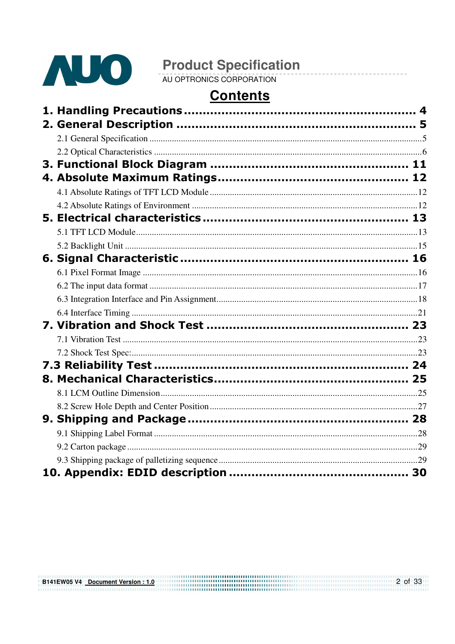

**Product Specification**<br>AU OPTRONICS CORPORATION

# **Contents**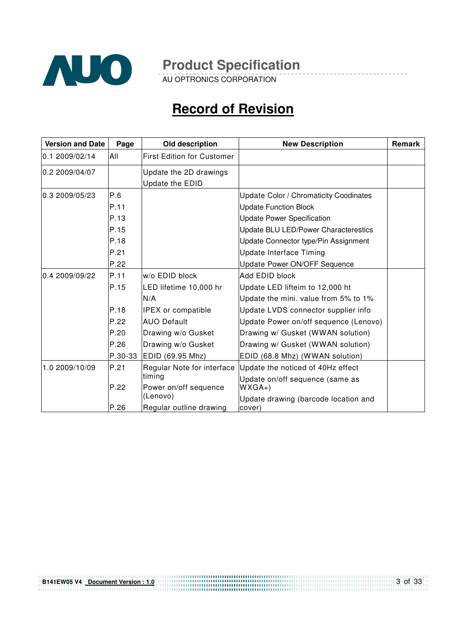

AU OPTRONICS CORPORATION

# **Record of Revision**

| 0.1 2009/02/14<br>All<br>0.2 2009/04/07 |         | <b>First Edition for Customer</b><br>Update the 2D drawings<br>Update the EDID |                                                |  |
|-----------------------------------------|---------|--------------------------------------------------------------------------------|------------------------------------------------|--|
|                                         |         |                                                                                |                                                |  |
|                                         |         |                                                                                |                                                |  |
| P.6<br>0.3 2009/05/23                   |         |                                                                                | <b>Update Color / Chromaticity Coodinates</b>  |  |
| P.11                                    |         |                                                                                | <b>Update Function Block</b>                   |  |
| P.13                                    |         |                                                                                | <b>Update Power Specification</b>              |  |
| P.15                                    |         |                                                                                | Update BLU LED/Power Characterestics           |  |
| P.18                                    |         |                                                                                | Update Connector type/Pin Assignment           |  |
| P.21                                    |         |                                                                                | Update Interface Timing                        |  |
| P.22                                    |         |                                                                                | Update Power ON/OFF Sequence                   |  |
| 0.4 2009/09/22<br>P.11                  |         | w/o EDID block                                                                 | Add EDID block                                 |  |
| P.15                                    |         | LED lifetime 10,000 hr                                                         | Update LED lifteim to 12,000 ht                |  |
|                                         |         | N/A                                                                            | Update the mini. value from 5% to 1%           |  |
| P.18                                    |         | <b>IPEX</b> or compatible                                                      | Update LVDS connector supplier info            |  |
| P.22                                    |         | <b>AUO Default</b>                                                             | Update Power on/off sequence (Lenovo)          |  |
| P.20                                    |         | Drawing w/o Gusket                                                             | Drawing w/ Gusket (WWAN solution)              |  |
| P.26                                    |         | Drawing w/o Gusket                                                             | Drawing w/ Gusket (WWAN solution)              |  |
|                                         | P.30-33 | EDID (69.95 Mhz)                                                               | EDID (68.8 Mhz) (WWAN solution)                |  |
| 1.0 2009/10/09<br>P.21                  |         | Regular Note for interface                                                     | Update the noticed of 40Hz effect              |  |
|                                         |         | timing                                                                         | Update on/off sequence (same as                |  |
| P.22                                    |         | Power on/off sequence<br>(Lenovo)                                              | $WXGA+$                                        |  |
| P.26                                    |         | Regular outline drawing                                                        | Update drawing (barcode location and<br>cover) |  |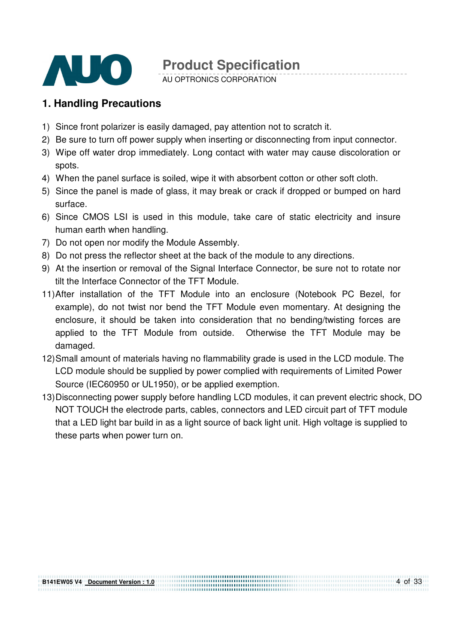

AU OPTRONICS CORPORATION

### **1. Handling Precautions**

- 1) Since front polarizer is easily damaged, pay attention not to scratch it.
- 2) Be sure to turn off power supply when inserting or disconnecting from input connector.
- 3) Wipe off water drop immediately. Long contact with water may cause discoloration or spots.
- 4) When the panel surface is soiled, wipe it with absorbent cotton or other soft cloth.
- 5) Since the panel is made of glass, it may break or crack if dropped or bumped on hard surface.
- 6) Since CMOS LSI is used in this module, take care of static electricity and insure human earth when handling.
- 7) Do not open nor modify the Module Assembly.
- 8) Do not press the reflector sheet at the back of the module to any directions.
- 9) At the insertion or removal of the Signal Interface Connector, be sure not to rotate nor tilt the Interface Connector of the TFT Module.
- 11) After installation of the TFT Module into an enclosure (Notebook PC Bezel, for example), do not twist nor bend the TFT Module even momentary. At designing the enclosure, it should be taken into consideration that no bending/twisting forces are applied to the TFT Module from outside. Otherwise the TFT Module may be damaged.
- 12) Small amount of materials having no flammability grade is used in the LCD module. The LCD module should be supplied by power complied with requirements of Limited Power Source (IEC60950 or UL1950), or be applied exemption.
- 13) Disconnecting power supply before handling LCD modules, it can prevent electric shock, DO NOT TOUCH the electrode parts, cables, connectors and LED circuit part of TFT module that a LED light bar build in as a light source of back light unit. High voltage is supplied to these parts when power turn on.

,,,,,,,,,,,,,,,,,,,,,,,,,,,,,,,,,,,,,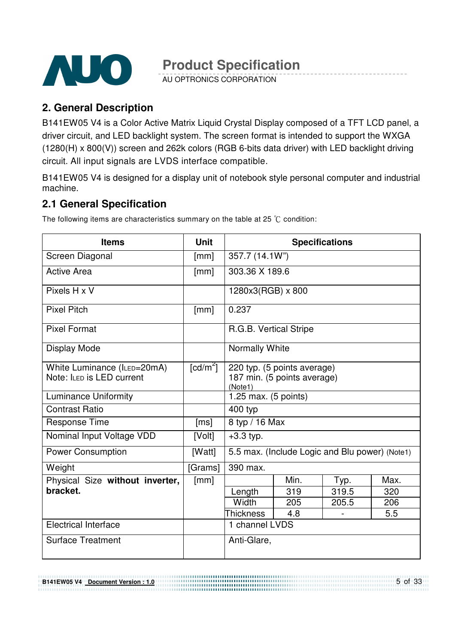

AU OPTRONICS CORPORATION

## **2. General Description**

B141EW05 V4 is a Color Active Matrix Liquid Crystal Display composed of a TFT LCD panel, a driver circuit, and LED backlight system. The screen format is intended to support the WXGA (1280(H) x 800(V)) screen and 262k colors (RGB 6-bits data driver) with LED backlight driving circuit. All input signals are LVDS interface compatible.

B141EW05 V4 is designed for a display unit of notebook style personal computer and industrial machine.

### **2.1 General Specification**

The following items are characteristics summary on the table at 25  $\degree$ C condition:

| <b>Items</b>                    | <b>Unit</b> | <b>Specifications</b>  |                                                |       |      |  |
|---------------------------------|-------------|------------------------|------------------------------------------------|-------|------|--|
| Screen Diagonal                 | [mm]        | 357.7 (14.1W")         |                                                |       |      |  |
| <b>Active Area</b>              | [mm]        | 303.36 X 189.6         |                                                |       |      |  |
| Pixels H x V                    |             | 1280x3(RGB) x 800      |                                                |       |      |  |
| <b>Pixel Pitch</b>              | [mm]        | 0.237                  |                                                |       |      |  |
| <b>Pixel Format</b>             |             | R.G.B. Vertical Stripe |                                                |       |      |  |
| <b>Display Mode</b>             |             | <b>Normally White</b>  |                                                |       |      |  |
| White Luminance (ILED=20mA)     | [ $cd/m2$ ] |                        | 220 typ. (5 points average)                    |       |      |  |
| Note: ILED is LED current       |             | (Note1)                | 187 min. (5 points average)                    |       |      |  |
| <b>Luminance Uniformity</b>     |             | 1.25 max. (5 points)   |                                                |       |      |  |
| <b>Contrast Ratio</b>           |             | 400 typ                |                                                |       |      |  |
| <b>Response Time</b>            | [ms]        | 8 typ / 16 Max         |                                                |       |      |  |
| Nominal Input Voltage VDD       | [Volt]      | $+3.3$ typ.            |                                                |       |      |  |
| <b>Power Consumption</b>        | [Watt]      |                        | 5.5 max. (Include Logic and Blu power) (Note1) |       |      |  |
| Weight                          | [Grams]     | 390 max.               |                                                |       |      |  |
| Physical Size without inverter, | [mm]        |                        | Min.                                           | Typ.  | Max. |  |
| bracket.                        |             | Length                 | 319                                            | 319.5 | 320  |  |
|                                 |             | Width                  | 205                                            | 205.5 | 206  |  |
|                                 |             | <b>Thickness</b>       | 4.8                                            |       | 5.5  |  |
| <b>Electrical Interface</b>     |             | 1 channel LVDS         |                                                |       |      |  |
| <b>Surface Treatment</b>        |             | Anti-Glare,            |                                                |       |      |  |

5 of 33 **B141EW05 V4 Document Version : 1.0**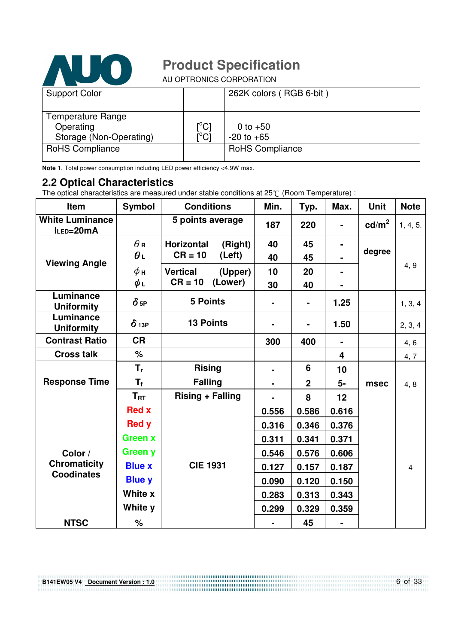

AU OPTRONICS CORPORATION

| <b>Support Color</b>                                             |                           | 262K colors (RGB 6-bit)      |
|------------------------------------------------------------------|---------------------------|------------------------------|
| <b>Temperature Range</b><br>Operating<br>Storage (Non-Operating) | $\rm [^{\circ}C]$<br>i°ci | 0 to $+50$<br>$-20$ to $+65$ |
| <b>RoHS Compliance</b>                                           |                           | <b>RoHS Compliance</b>       |

**Note 1**. Total power consumption including LED power efficiency <4.9W max.

#### **2.2 Optical Characteristics**

The optical characteristics are measured under stable conditions at 25°C (Room Temperature) :

| Item                                | <b>Symbol</b>           | <b>Conditions</b>            | Min.  | Typ.           | Max.                    | <b>Unit</b>       | <b>Note</b> |
|-------------------------------------|-------------------------|------------------------------|-------|----------------|-------------------------|-------------------|-------------|
| <b>White Luminance</b><br>ILED=20mA |                         | 5 points average             | 187   | 220            |                         | cd/m <sup>2</sup> | 1, 4, 5.    |
|                                     | $\theta$ R              | <b>Horizontal</b><br>(Right) | 40    | 45             |                         |                   |             |
| <b>Viewing Angle</b>                | $\boldsymbol{\theta}$   | $CR = 10$<br>(Left)          | 40    | 45             |                         | degree            |             |
|                                     | $\phi$ н                | <b>Vertical</b><br>(Upper)   | 10    | 20             |                         |                   | 4, 9        |
|                                     | $\phi_L$                | $CR = 10$<br>(Lower)         | 30    | 40             |                         |                   |             |
| Luminance<br><b>Uniformity</b>      | $\delta$ 5P             | <b>5 Points</b>              |       | $\blacksquare$ | 1.25                    |                   | 1, 3, 4     |
| Luminance<br><b>Uniformity</b>      | $\delta$ 13P            | <b>13 Points</b>             |       |                | 1.50                    |                   | 2, 3, 4     |
| <b>Contrast Ratio</b>               | <b>CR</b>               |                              | 300   | 400            | $\blacksquare$          |                   | 4, 6        |
| <b>Cross talk</b>                   | $\%$                    |                              |       |                | $\overline{\mathbf{4}}$ |                   | 4,7         |
|                                     | $T_{r}$                 | <b>Rising</b>                |       | 6              | 10                      |                   |             |
| <b>Response Time</b>                | $\mathsf{T}_\mathsf{f}$ | <b>Falling</b>               |       | $\overline{2}$ | 5-                      | msec              | 4,8         |
|                                     | $T_{\rm RT}$            | <b>Rising + Falling</b>      |       | 8              | 12                      |                   |             |
|                                     | <b>Red x</b>            |                              | 0.556 | 0.586          | 0.616                   |                   |             |
|                                     | <b>Red y</b>            |                              | 0.316 | 0.346          | 0.376                   |                   |             |
|                                     | <b>Green x</b>          |                              | 0.311 | 0.341          | 0.371                   |                   |             |
| Color /                             | Green y                 |                              | 0.546 | 0.576          | 0.606                   |                   |             |
| <b>Chromaticity</b>                 | <b>Blue x</b>           | <b>CIE 1931</b>              | 0.127 | 0.157          | 0.187                   |                   | 4           |
| <b>Coodinates</b>                   | <b>Blue y</b>           |                              | 0.090 | 0.120          | 0.150                   |                   |             |
|                                     | White x                 |                              | 0.283 | 0.313          | 0.343                   |                   |             |
|                                     | White y                 |                              | 0.299 | 0.329          | 0.359                   |                   |             |
| <b>NTSC</b>                         | $\%$                    |                              |       | 45             |                         |                   |             |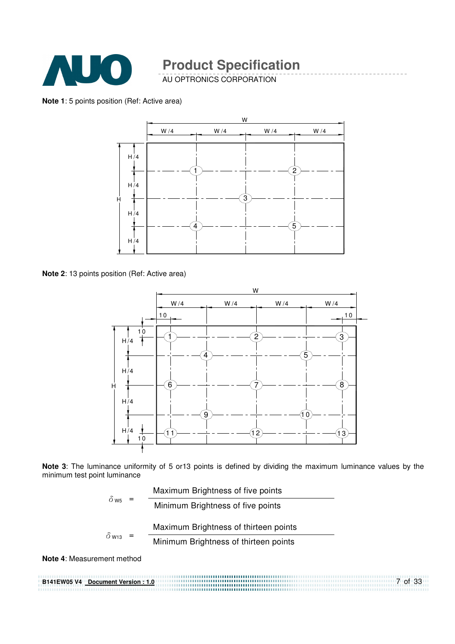

AU OPTRONICS CORPORATION

#### **Note 1**: 5 points position (Ref: Active area)



**Note 2**: 13 points position (Ref: Active area)



**Note 3**: The luminance uniformity of 5 or13 points is defined by dividing the maximum luminance values by the minimum test point luminance

|                            | Maximum Brightness of five points     |
|----------------------------|---------------------------------------|
| $\delta_{\text{W5}}$ =     | Minimum Brightness of five points     |
|                            |                                       |
| $\delta$ w <sub>13</sub> = | Maximum Brightness of thirteen points |

**Note 4**: Measurement method

**B141EW05 V4 Document Version : 1.0** 7 of 33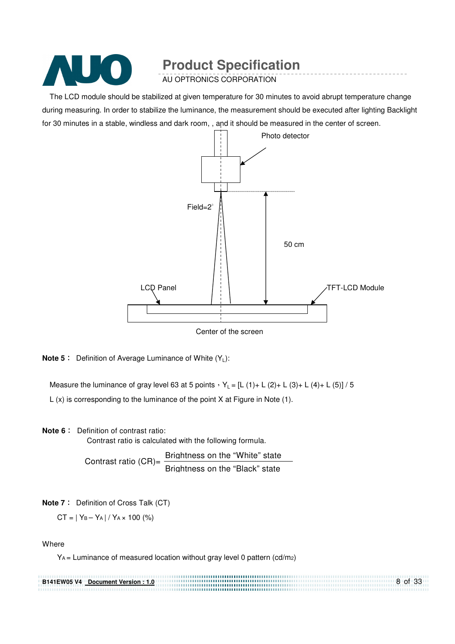

AU OPTRONICS CORPORATION

The LCD module should be stabilized at given temperature for 30 minutes to avoid abrupt temperature change during measuring. In order to stabilize the luminance, the measurement should be executed after lighting Backlight for 30 minutes in a stable, windless and dark room, , and it should be measured in the center of screen.



**Note 5** Definition of Average Luminance of White (Y<sub>1</sub>):

Measure the luminance of gray level 63 at 5 points  $Y_L = [L (1) + L (2) + L (3) + L (4) + L (5)] / 5$ L (x) is corresponding to the luminance of the point X at Figure in Note (1).

**Note 6** : Definition of contrast ratio:

Contrast ratio is calculated with the following formula.

Contrast ratio (CR)=  $\frac{\text{Brichtness on the "White" state}}{\text{Bricial}}$ Brightness on the "Black" state

**Note 7** : Definition of Cross Talk (CT)

 $CT = |Y_B - Y_A| / Y_A \times 100$  (%)

**Where** 

YA = Luminance of measured location without gray level 0 pattern (cd/m2)

8 of 33 **B141EW05 V4 Document Version : 1.0** ............................... ......................................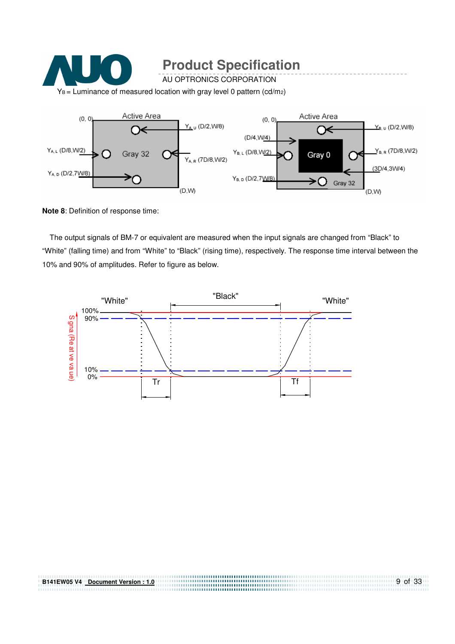

**Note 8**: Definition of response time:

The output signals of BM-7 or equivalent are measured when the input signals are changed from "Black" to "White" (falling time) and from "White" to "Black" (rising time), respectively. The response time interval between the 10% and 90% of amplitudes. Refer to figure as below.

9 of 33

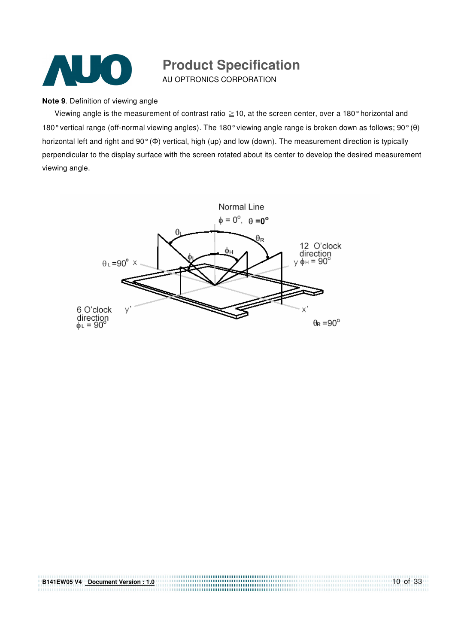

AU OPTRONICS CORPORATION

#### **Note 9**. Definition of viewing angle

Viewing angle is the measurement of contrast ratio  $\geq$  10, at the screen center, over a 180 $^{\circ}$  horizontal and 180° vertical range (off-normal viewing angles). The 180° viewing angle range is broken down as follows; 90° (θ) horizontal left and right and 90° (Φ) vertical, high (up) and low (down). The measurement direction is typically perpendicular to the display surface with the screen rotated about its center to develop the desired measurement viewing angle.



**B141EW05 V4 Document Version : 1.0**

10 of 33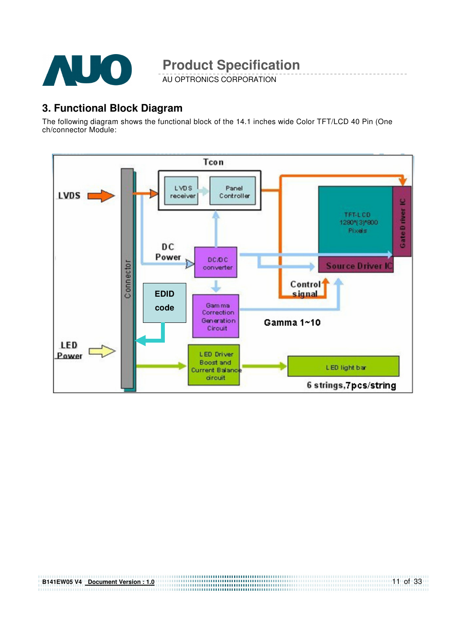

AU OPTRONICS CORPORATION

### **3. Functional Block Diagram**

The following diagram shows the functional block of the 14.1 inches wide Color TFT/LCD 40 Pin (One ch/connector Module:

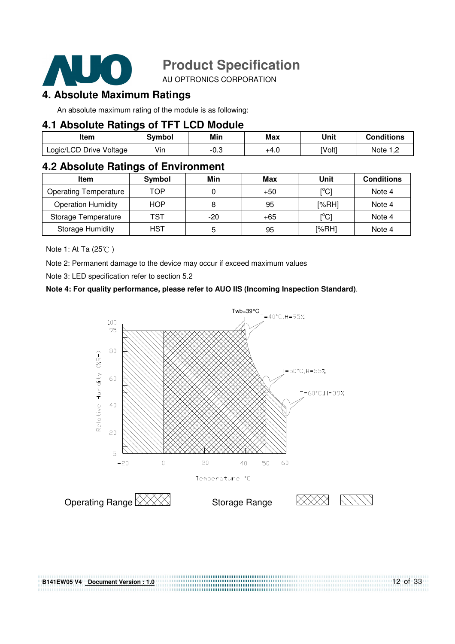

AU OPTRONICS CORPORATION

### **4. Absolute Maximum Ratings**

An absolute maximum rating of the module is as following:

#### **4.1 Absolute Ratings of TFT LCD Module**

| Item                    | Svmbol         | Min  | Max  | Unit   | <b>Conditions</b> |
|-------------------------|----------------|------|------|--------|-------------------|
| Logic/LCD Drive Voltage | $\cdot$<br>Vın | -0.J | +4.∪ | [Volt] | Note :            |

### **4.2 Absolute Ratings of Environment**

| <b>Item</b>                  | Symbol     | Min   | Max   | Unit                      | <b>Conditions</b> |
|------------------------------|------------|-------|-------|---------------------------|-------------------|
| <b>Operating Temperature</b> | TOP        |       | $+50$ | $\lceil{^{\circ}C}\rceil$ | Note 4            |
| <b>Operation Humidity</b>    | <b>HOP</b> |       | 95    | I%RHI                     | Note 4            |
| Storage Temperature          | TST        | $-20$ | $+65$ | [°C]                      | Note 4            |
| <b>Storage Humidity</b>      | <b>HST</b> | 5     | 95    | [%RH]                     | Note 4            |

Note 1: At Ta (25°C)

Note 2: Permanent damage to the device may occur if exceed maximum values

Note 3: LED specification refer to section 5.2

#### **Note 4: For quality performance, please refer to AUO IIS (Incoming Inspection Standard)**.

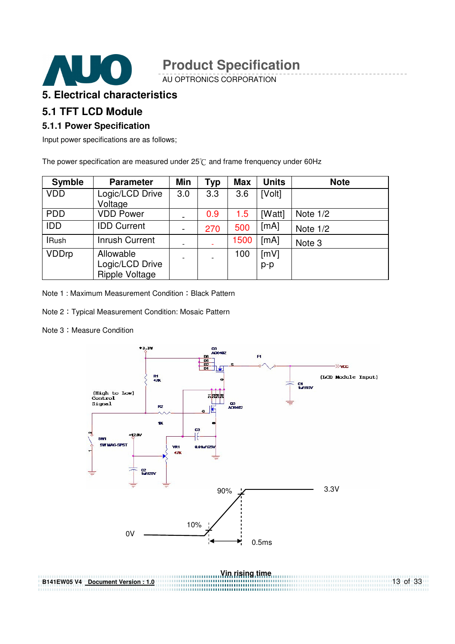

AU OPTRONICS CORPORATION

#### **5. Electrical characteristics**

### **5.1 TFT LCD Module**

#### **5.1.1 Power Specification**

Input power specifications are as follows;

The power specification are measured under  $25^{\circ}$ C and frame frenquency under 60Hz

| <b>Symble</b> | <b>Parameter</b>                                      | Min                          | Typ | <b>Max</b> | <b>Units</b> | <b>Note</b> |
|---------------|-------------------------------------------------------|------------------------------|-----|------------|--------------|-------------|
| <b>VDD</b>    | Logic/LCD Drive<br>Voltage                            | 3.0                          | 3.3 | 3.6        | [Volt]       |             |
| <b>PDD</b>    | <b>VDD Power</b>                                      |                              | 0.9 | 1.5        | [Watt]       | Note $1/2$  |
| <b>IDD</b>    | <b>IDD Current</b>                                    | $\qquad \qquad \blacksquare$ | 270 | 500        | [mA]         | Note $1/2$  |
| <b>IRush</b>  | <b>Inrush Current</b>                                 | $\overline{\phantom{a}}$     |     | 1500       | [mA]         | Note 3      |
| <b>VDDrp</b>  | Allowable<br>Logic/LCD Drive<br><b>Ripple Voltage</b> |                              |     | 100        | [mV]<br>p-p  |             |

Note 1 : Maximum Measurement Condition : Black Pattern

Note 2 Typical Measurement Condition: Mosaic Pattern

#### Note 3: Measure Condition



**Vin rising time B141EW05 V4 Document Version : 1.0** 13 of 33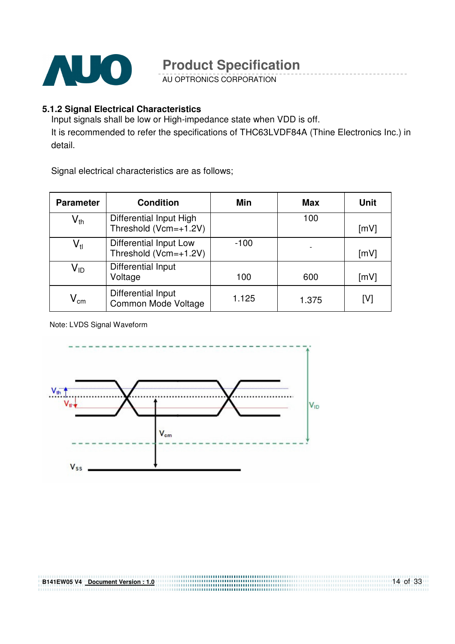

AU OPTRONICS CORPORATION

#### **5.1.2 Signal Electrical Characteristics**

Input signals shall be low or High-impedance state when VDD is off. It is recommended to refer the specifications of THC63LVDF84A (Thine Electronics Inc.) in detail.

Signal electrical characteristics are as follows;

| <b>Parameter</b>           | <b>Condition</b>                                 | Min    | <b>Max</b> | <b>Unit</b> |
|----------------------------|--------------------------------------------------|--------|------------|-------------|
| $\mathsf{V}_{\mathsf{th}}$ | Differential Input High<br>Threshold (Vcm=+1.2V) |        | 100        | [mV]        |
| $\mathsf{V}_{\sf tl}$      | Differential Input Low<br>Threshold (Vcm=+1.2V)  | $-100$ |            | [mV]        |
| Vıd                        | Differential Input<br>Voltage                    | 100    | 600        | [mV]        |
| $\mathsf{V}_{\mathsf{cm}}$ | Differential Input<br>Common Mode Voltage        | 1.125  | 1.375      | [V]         |

Note: LVDS Signal Waveform

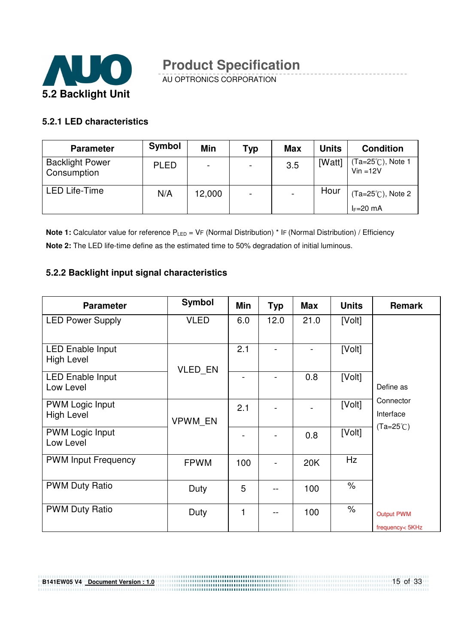

AU OPTRONICS CORPORATION

#### **5.2.1 LED characteristics**

| <b>Parameter</b>                      | <b>Symbol</b> | <b>Min</b>               | Typ                      | <b>Max</b> | <b>Units</b> | <b>Condition</b>                |
|---------------------------------------|---------------|--------------------------|--------------------------|------------|--------------|---------------------------------|
| <b>Backlight Power</b><br>Consumption | <b>PLED</b>   | $\overline{\phantom{0}}$ | ٠                        | 3.5        | [Watt]       | (Ta=25℃), Note 1<br>$Vin = 12V$ |
| <b>LED Life-Time</b>                  | N/A           | 12,000                   | $\overline{\phantom{0}}$ |            | Hour         | $(Ta=25^{\circ}C)$ , Note 2     |
|                                       |               |                          |                          |            |              | $I_F=20$ mA                     |

**Note 1:** Calculator value for reference P<sub>LED</sub> = VF (Normal Distribution) \* IF (Normal Distribution) / Efficiency **Note 2:** The LED life-time define as the estimated time to 50% degradation of initial luminous.

#### **5.2.2 Backlight input signal characteristics**

**B141EW05 V4 Document Version : 1.0**

| <b>Parameter</b>                            | <b>Symbol</b>  | Min | <b>Typ</b> | <b>Max</b> | <b>Units</b>         | <b>Remark</b>                                |
|---------------------------------------------|----------------|-----|------------|------------|----------------------|----------------------------------------------|
| <b>LED Power Supply</b>                     | <b>VLED</b>    | 6.0 | 12.0       | 21.0       | [Volt]               |                                              |
| LED Enable Input<br><b>High Level</b>       | <b>VLED EN</b> | 2.1 |            |            | [Volt]               |                                              |
| <b>LED Enable Input</b><br>Low Level        |                |     |            | 0.8        | [Volt]               | Define as                                    |
| <b>PWM Logic Input</b><br><b>High Level</b> | VPWM EN        | 2.1 |            |            | [Volt]               | Connector<br>Interface<br>$(Ta=25^{\circ}C)$ |
| <b>PWM Logic Input</b><br>Low Level         |                |     |            | 0.8        | [Volt]               |                                              |
| <b>PWM Input Frequency</b>                  | <b>FPWM</b>    | 100 |            | 20K        | <b>Hz</b>            |                                              |
| <b>PWM Duty Ratio</b>                       | Duty           | 5   |            | 100        | $\%$                 |                                              |
| <b>PWM Duty Ratio</b>                       | Duty           | 1   |            | 100        | $\frac{1}{\sqrt{2}}$ | <b>Output PWM</b><br>frequency<br>SKHz       |

15 of 33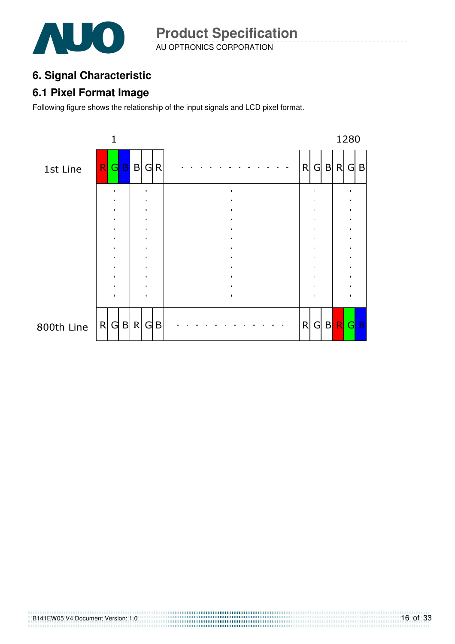

AU OPTRONICS CORPORATION **Product Specification** 

# **6. Signal Characteristic**

### **6.1 Pixel Format Image**

Following figure shows the relationship of the input signals and LCD pixel format.

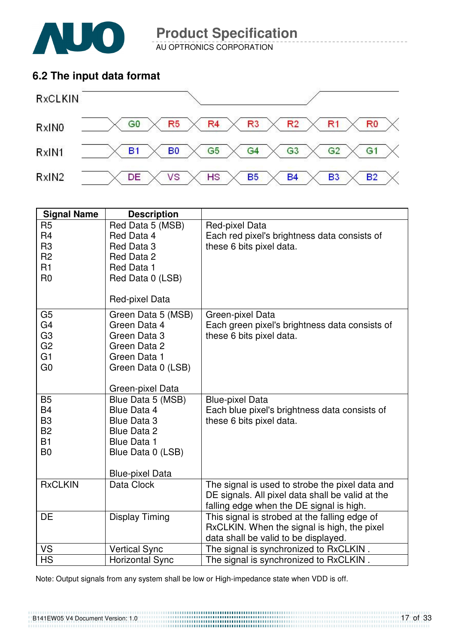

AU OPTRONICS CORPORATION

### **6.2 The input data format**



| <b>Signal Name</b> | <b>Description</b>     |                                                  |
|--------------------|------------------------|--------------------------------------------------|
| R <sub>5</sub>     | Red Data 5 (MSB)       | Red-pixel Data                                   |
| R <sub>4</sub>     | Red Data 4             | Each red pixel's brightness data consists of     |
| R <sub>3</sub>     | Red Data 3             | these 6 bits pixel data.                         |
| R <sub>2</sub>     | Red Data 2             |                                                  |
| R1                 | Red Data 1             |                                                  |
| R <sub>0</sub>     | Red Data 0 (LSB)       |                                                  |
|                    | Red-pixel Data         |                                                  |
| G <sub>5</sub>     | Green Data 5 (MSB)     | Green-pixel Data                                 |
| G <sub>4</sub>     | Green Data 4           | Each green pixel's brightness data consists of   |
| G <sub>3</sub>     | Green Data 3           | these 6 bits pixel data.                         |
| G <sub>2</sub>     | Green Data 2           |                                                  |
| G <sub>1</sub>     | Green Data 1           |                                                  |
| G <sub>0</sub>     | Green Data 0 (LSB)     |                                                  |
|                    | Green-pixel Data       |                                                  |
| <b>B5</b>          | Blue Data 5 (MSB)      | <b>Blue-pixel Data</b>                           |
| <b>B4</b>          | Blue Data 4            | Each blue pixel's brightness data consists of    |
| B <sub>3</sub>     | <b>Blue Data 3</b>     | these 6 bits pixel data.                         |
| <b>B2</b>          | <b>Blue Data 2</b>     |                                                  |
| <b>B1</b>          | <b>Blue Data 1</b>     |                                                  |
| B <sub>0</sub>     | Blue Data 0 (LSB)      |                                                  |
|                    | <b>Blue-pixel Data</b> |                                                  |
| <b>RxCLKIN</b>     | Data Clock             | The signal is used to strobe the pixel data and  |
|                    |                        | DE signals. All pixel data shall be valid at the |
|                    |                        | falling edge when the DE signal is high.         |
| <b>DE</b>          | <b>Display Timing</b>  | This signal is strobed at the falling edge of    |
|                    |                        | RxCLKIN. When the signal is high, the pixel      |
|                    |                        | data shall be valid to be displayed.             |
| VS                 | <b>Vertical Sync</b>   | The signal is synchronized to RxCLKIN.           |
| <b>HS</b>          | <b>Horizontal Sync</b> | The signal is synchronized to RxCLKIN.           |

Note: Output signals from any system shall be low or High-impedance state when VDD is off.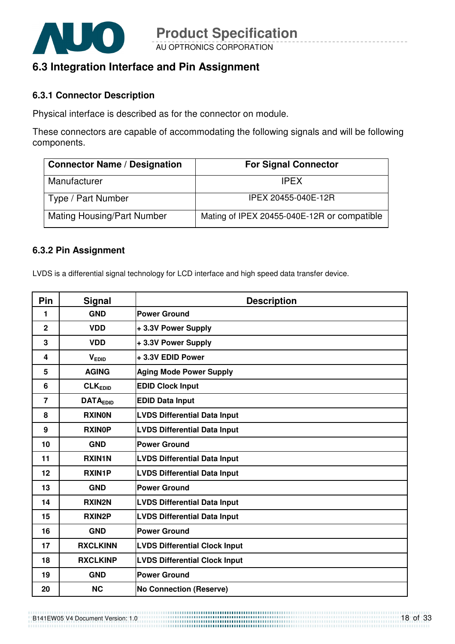

## **6.3 Integration Interface and Pin Assignment**

#### **6.3.1 Connector Description**

Physical interface is described as for the connector on module.

These connectors are capable of accommodating the following signals and will be following components.

| <b>Connector Name / Designation</b> | <b>For Signal Connector</b>                 |
|-------------------------------------|---------------------------------------------|
| Manufacturer                        | <b>IPFX</b>                                 |
| Type / Part Number                  | IPEX 20455-040E-12R                         |
| <b>Mating Housing/Part Number</b>   | Mating of IPEX 20455-040E-12R or compatible |

#### **6.3.2 Pin Assignment**

LVDS is a differential signal technology for LCD interface and high speed data transfer device.

| Pin            | <b>Signal</b>   | <b>Description</b>                   |
|----------------|-----------------|--------------------------------------|
| 1              | <b>GND</b>      | <b>Power Ground</b>                  |
| $\mathbf{2}$   | <b>VDD</b>      | +3.3V Power Supply                   |
| 3              | <b>VDD</b>      | +3.3V Power Supply                   |
| 4              | $V_{EDID}$      | +3.3V EDID Power                     |
| 5              | <b>AGING</b>    | <b>Aging Mode Power Supply</b>       |
| 6              | <b>CLKEDID</b>  | <b>EDID Clock Input</b>              |
| $\overline{7}$ | <b>DATAEDID</b> | <b>EDID Data Input</b>               |
| 8              | <b>RXINON</b>   | <b>LVDS Differential Data Input</b>  |
| 9              | <b>RXINOP</b>   | <b>LVDS Differential Data Input</b>  |
| 10             | <b>GND</b>      | <b>Power Ground</b>                  |
| 11             | <b>RXIN1N</b>   | <b>LVDS Differential Data Input</b>  |
| 12             | <b>RXIN1P</b>   | <b>LVDS Differential Data Input</b>  |
| 13             | <b>GND</b>      | <b>Power Ground</b>                  |
| 14             | <b>RXIN2N</b>   | <b>LVDS Differential Data Input</b>  |
| 15             | <b>RXIN2P</b>   | <b>LVDS Differential Data Input</b>  |
| 16             | <b>GND</b>      | <b>Power Ground</b>                  |
| 17             | <b>RXCLKINN</b> | <b>LVDS Differential Clock Input</b> |
| 18             | <b>RXCLKINP</b> | <b>LVDS Differential Clock Input</b> |
| 19             | <b>GND</b>      | <b>Power Ground</b>                  |
| 20             | <b>NC</b>       | <b>No Connection (Reserve)</b>       |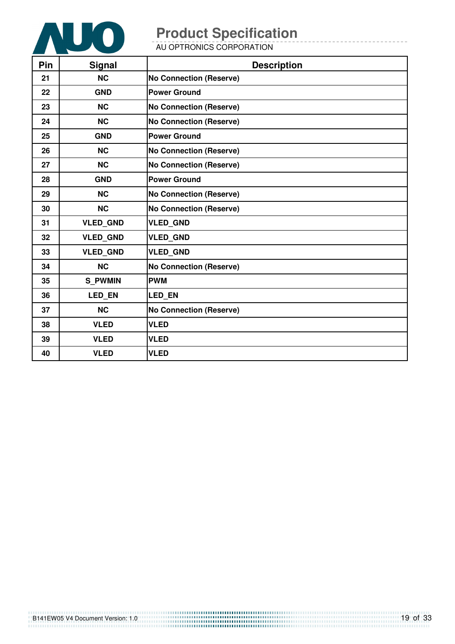

AU OPTRONICS CORPORATION

| Pin | <b>Signal</b>   | <b>Description</b>             |
|-----|-----------------|--------------------------------|
| 21  | <b>NC</b>       | <b>No Connection (Reserve)</b> |
| 22  | <b>GND</b>      | <b>Power Ground</b>            |
| 23  | <b>NC</b>       | <b>No Connection (Reserve)</b> |
| 24  | <b>NC</b>       | <b>No Connection (Reserve)</b> |
| 25  | <b>GND</b>      | <b>Power Ground</b>            |
| 26  | <b>NC</b>       | <b>No Connection (Reserve)</b> |
| 27  | <b>NC</b>       | <b>No Connection (Reserve)</b> |
| 28  | <b>GND</b>      | <b>Power Ground</b>            |
| 29  | <b>NC</b>       | <b>No Connection (Reserve)</b> |
| 30  | <b>NC</b>       | <b>No Connection (Reserve)</b> |
| 31  | <b>VLED_GND</b> | <b>VLED_GND</b>                |
| 32  | <b>VLED GND</b> | <b>VLED GND</b>                |
| 33  | <b>VLED GND</b> | <b>VLED GND</b>                |
| 34  | <b>NC</b>       | <b>No Connection (Reserve)</b> |
| 35  | <b>S PWMIN</b>  | <b>PWM</b>                     |
| 36  | LED_EN          | <b>LED EN</b>                  |
| 37  | <b>NC</b>       | <b>No Connection (Reserve)</b> |
| 38  | <b>VLED</b>     | <b>VLED</b>                    |
| 39  | <b>VLED</b>     | <b>VLED</b>                    |
| 40  | <b>VLED</b>     | <b>VLED</b>                    |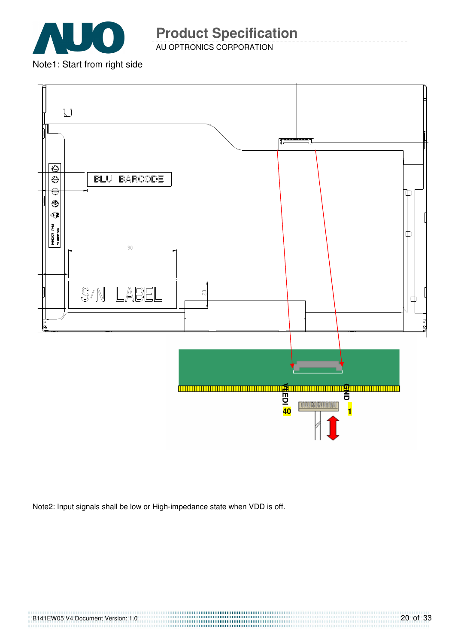

AU OPTRONICS CORPORATION

Note1: Start from right side



Note2: Input signals shall be low or High-impedance state when VDD is off.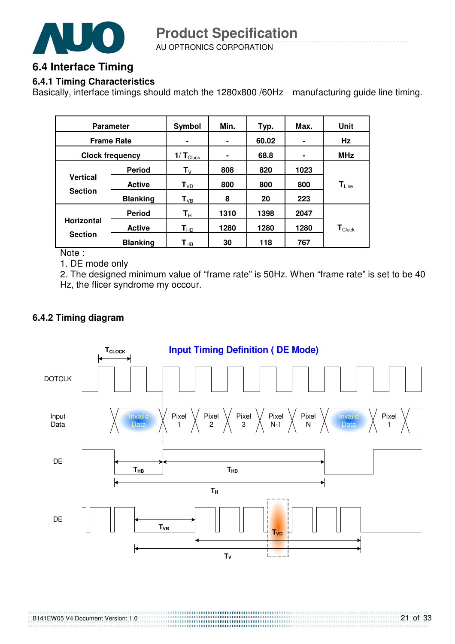

AU OPTRONICS CORPORATION **Product Specification** 

### **6.4 Interface Timing**

#### **6.4.1 Timing Characteristics**

Basically, interface timings should match the 1280x800 /60Hz manufacturing guide line timing.

| <b>Parameter</b>                  |                 | Symbol                     | Min. | Typ.  | Max. | Unit                          |
|-----------------------------------|-----------------|----------------------------|------|-------|------|-------------------------------|
| <b>Frame Rate</b>                 |                 | ۰                          | ٠    | 60.02 |      | Hz                            |
| <b>Clock frequency</b>            |                 | $1/T_{\text{Clock}}$       | ۰    | 68.8  | ۰    | <b>MHz</b>                    |
|                                   | <b>Period</b>   | $\mathsf{T}_\mathsf{V}$    | 808  | 820   | 1023 |                               |
| <b>Vertical</b><br><b>Section</b> | <b>Active</b>   | T <sub>VD</sub>            | 800  | 800   | 800  | $T_{Line}$                    |
|                                   | <b>Blanking</b> | $T_{VB}$                   | 8    | 20    | 223  |                               |
|                                   | <b>Period</b>   | $\mathbf{T}_{\mathsf{H}}$  | 1310 | 1398  | 2047 |                               |
| <b>Horizontal</b>                 | <b>Active</b>   | $\mathsf{T}_{\mathsf{HD}}$ | 1280 | 1280  | 1280 | $\mathbf{T}_{\textsf{Clock}}$ |
| <b>Section</b>                    | <b>Blanking</b> | $\mathsf{T}_{\mathsf{HB}}$ | 30   | 118   | 767  |                               |

Note :

1. DE mode only

2. The designed minimum value of "frame rate" is 50Hz. When "frame rate" is set to be 40 Hz, the flicer syndrome my occour.

#### **6.4.2 Timing diagram**

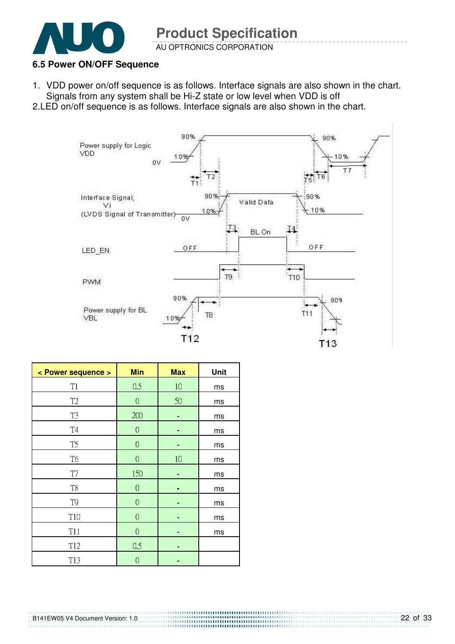

#### **6.5 Power ON/OFF Sequence**

1. VDD power on/off sequence is as follows. Interface signals are also shown in the chart. Signals from any system shall be Hi-Z state or low level when VDD is off

2.LED on/off sequence is as follows. Interface signals are also shown in the chart.



| < Power sequence > | <b>Min</b>       | <b>Max</b> | Unit |
|--------------------|------------------|------------|------|
| T1                 | 0.5              | 10         | ms   |
| T <sub>2</sub>     | $\boldsymbol{0}$ | 50         | ms   |
| T <sub>3</sub>     | 200              |            | ms   |
| T4                 | $\overline{0}$   | ۰          | ms   |
| T <sub>5</sub>     | $\mathbf 0$      | -          | ms   |
| T <sub>6</sub>     | $\boldsymbol{0}$ | 10         | ms   |
| T7                 | 150              |            | ms   |
| T <sub>8</sub>     | $\boldsymbol{0}$ |            | ms   |
| T <sub>9</sub>     | $\overline{0}$   |            | ms   |
| T <sub>10</sub>    | $\mathbf 0$      |            | ms   |
| T11                | $\boldsymbol{0}$ | ۰          | ms   |
| T <sub>12</sub>    | 0.5              |            |      |
| T13                | $\overline{0}$   | ۰          |      |

B141EW05 V4 Document Version: 1.0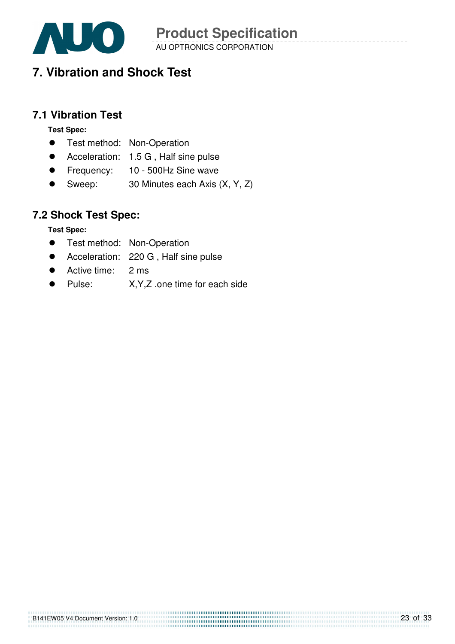

AU OPTRONICS CORPORATION **Product Specification** 

# **7. Vibration and Shock Test**

### **7.1 Vibration Test**

**Test Spec:** 

- **•** Test method: Non-Operation
- Acceleration: 1.5 G, Half sine pulse
- Frequency: 10 500Hz Sine wave
- Sweep: 30 Minutes each Axis (X, Y, Z)

### **7.2 Shock Test Spec:**

**Test Spec:** 

- **•** Test method: Non-Operation
- Acceleration: 220 G, Half sine pulse
- Active time: 2 ms
- Pulse: X, Y, Z .one time for each side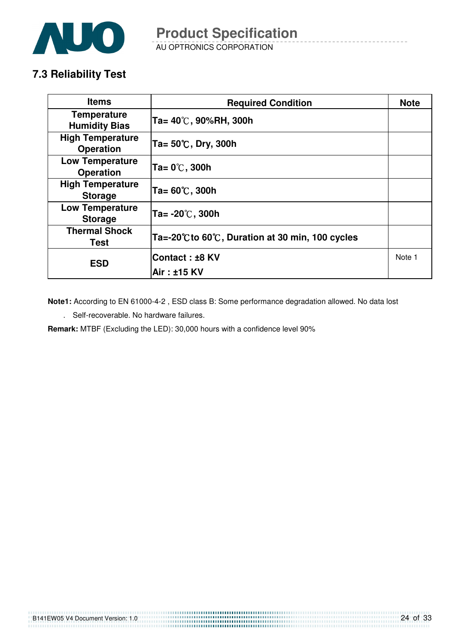

AU OPTRONICS CORPORATION **Product Specification** 

## **7.3 Reliability Test**

| <b>Items</b>                                | <b>Required Condition</b>                        | <b>Note</b> |
|---------------------------------------------|--------------------------------------------------|-------------|
| <b>Temperature</b><br><b>Humidity Bias</b>  | Ta= 40℃, 90%RH, 300h                             |             |
| <b>High Temperature</b><br><b>Operation</b> | Ta= $50^{\circ}$ C, Dry, 300h                    |             |
| <b>Low Temperature</b><br><b>Operation</b>  | Ta= 0℃, 300h                                     |             |
| <b>High Temperature</b><br><b>Storage</b>   | Ta= 60℃, 300h                                    |             |
| <b>Low Temperature</b><br><b>Storage</b>    | Ta= -20 $\degree$ C, 300h                        |             |
| <b>Thermal Shock</b><br>Test                | Ta=-20°C to 60°C, Duration at 30 min, 100 cycles |             |
| <b>ESD</b>                                  | <b>Contact : ±8 KV</b>                           | Note 1      |
|                                             | Air: ±15 KV                                      |             |

**Note1:** According to EN 61000-4-2 , ESD class B: Some performance degradation allowed. No data lost

. Self-recoverable. No hardware failures.

**Remark:** MTBF (Excluding the LED): 30,000 hours with a confidence level 90%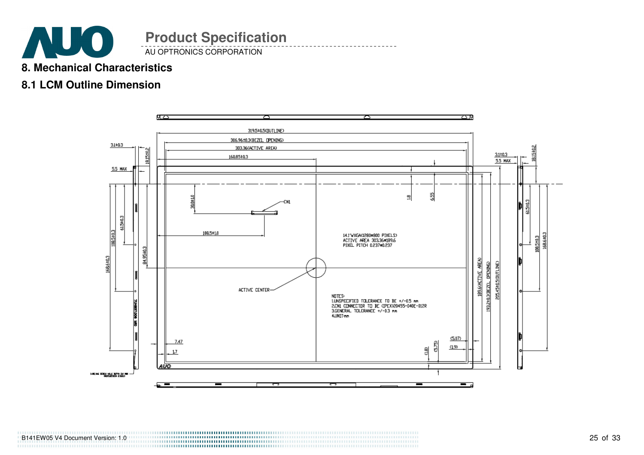

## **8. Mechanical Characteristics**

### **8.1 LCM Outline Dimension**

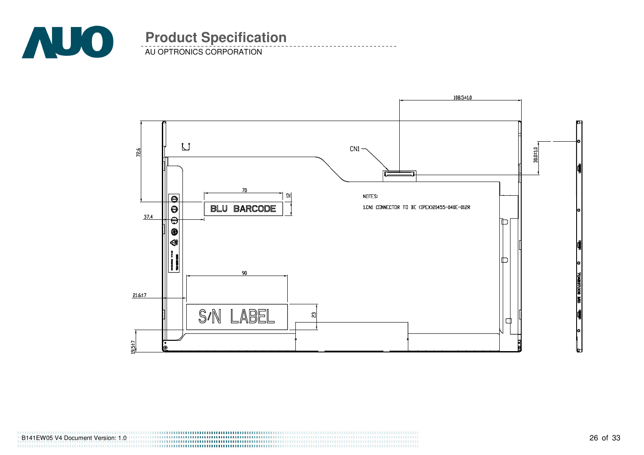

AU OPTRONICS CORPORATION



B141EW05 V4 Document Version: 1.0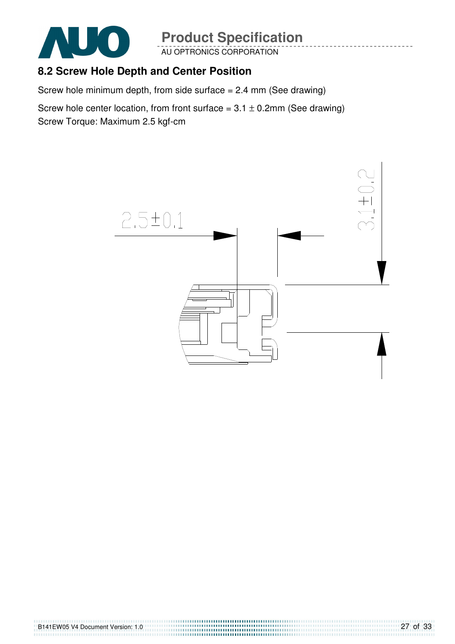

AU OPTRONICS CORPORATION

## **8.2 Screw Hole Depth and Center Position**

Screw hole minimum depth, from side surface  $= 2.4$  mm (See drawing)

Screw hole center location, from front surface =  $3.1 \pm 0.2$ mm (See drawing) Screw Torque: Maximum 2.5 kgf-cm

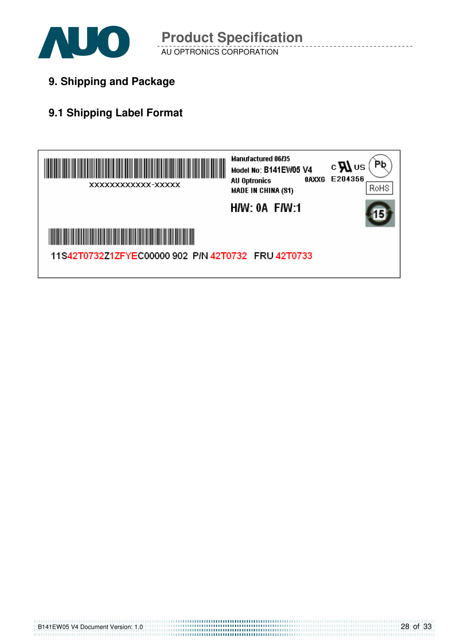

**9. Shipping and Package**

# **9.1 Shipping Label Format**

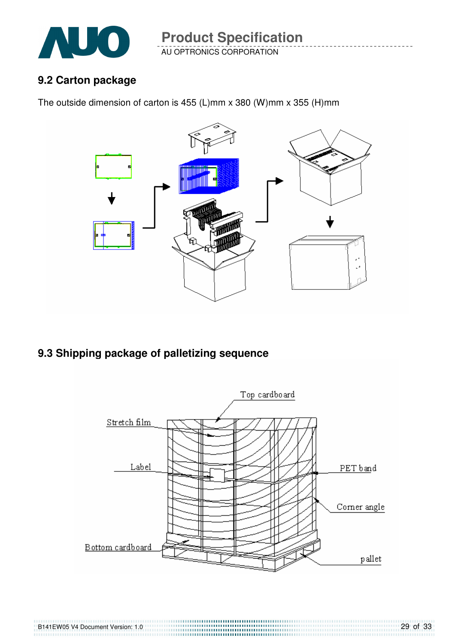

AU OPTRONICS CORPORATION **Product Specification** 

### **9.2 Carton package**

B141EW05 V4 Document Version: 1.0

The outside dimension of carton is 455 (L)mm x 380 (W)mm x 355 (H)mm



**9.3 Shipping package of palletizing sequence** 

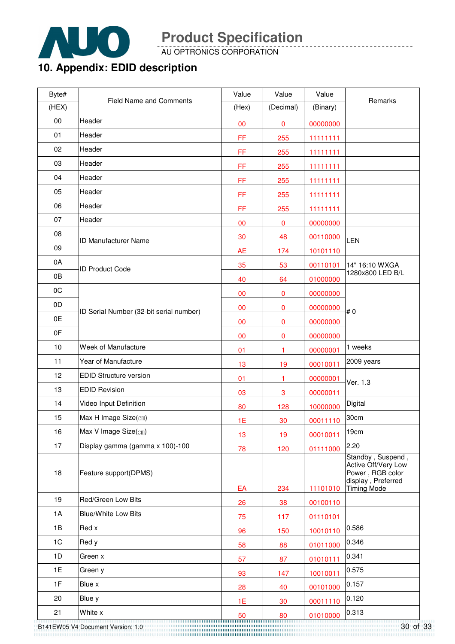

AU OPTRONICS CORPORATION

# **10. Appendix: EDID description**

| Byte# | <b>Field Name and Comments</b>          | Value     | Value        | Value    | Remarks                                                                                                  |
|-------|-----------------------------------------|-----------|--------------|----------|----------------------------------------------------------------------------------------------------------|
| (HEX) |                                         | (Hex)     | (Decimal)    | (Binary) |                                                                                                          |
| 00    | Header                                  | 00        | 0            | 00000000 |                                                                                                          |
| 01    | Header                                  | FF        | 255          | 11111111 |                                                                                                          |
| 02    | Header                                  | FF        | 255          | 11111111 |                                                                                                          |
| 03    | Header                                  | FF        | 255          | 11111111 |                                                                                                          |
| 04    | Header                                  | FF        | 255          | 11111111 |                                                                                                          |
| 05    | Header                                  | FF        | 255          | 11111111 |                                                                                                          |
| 06    | Header                                  | FF        | 255          | 11111111 |                                                                                                          |
| 07    | Header                                  | 00        | $\pmb{0}$    | 00000000 |                                                                                                          |
| 08    | <b>ID Manufacturer Name</b>             | 30        | 48           | 00110000 | LEN                                                                                                      |
| 09    |                                         | <b>AE</b> | 174          | 10101110 |                                                                                                          |
| 0A    | <b>ID Product Code</b>                  | 35        | 53           | 00110101 | 14" 16:10 WXGA                                                                                           |
| 0B    |                                         | 40        | 64           | 01000000 | 1280x800 LED B/L                                                                                         |
| 0C    |                                         | 00        | 0            | 00000000 |                                                                                                          |
| 0D    | ID Serial Number (32-bit serial number) | 00        | 0            | 00000000 | #0                                                                                                       |
| 0E    |                                         | 00        | 0            | 00000000 |                                                                                                          |
| 0F    |                                         | 00        | 0            | 00000000 |                                                                                                          |
| 10    | Week of Manufacture                     | 01        | 1            | 00000001 | 1 weeks                                                                                                  |
| 11    | Year of Manufacture                     | 13        | 19           | 00010011 | 2009 years                                                                                               |
| 12    | <b>EDID Structure version</b>           | 01        | 1            | 00000001 | Ver. 1.3                                                                                                 |
| 13    | <b>EDID Revision</b>                    | 03        | $\mathbf{3}$ | 00000011 |                                                                                                          |
| 14    | Video Input Definition                  | 80        | 128          | 10000000 | Digital                                                                                                  |
| 15    | Max H Image Size(cm)                    | 1E        | 30           | 00011110 | 30cm                                                                                                     |
| 16    | Max V Image Size(cm)                    | 13        | 19           | 00010011 | 19cm                                                                                                     |
| 17    | Display gamma (gamma x 100)-100         | 78        | 120          | 01111000 | 2.20                                                                                                     |
| 18    | Feature support(DPMS)                   | EA        | 234          | 11101010 | Standby, Suspend,<br>Active Off/Very Low<br>Power, RGB color<br>display, Preferred<br><b>Timing Mode</b> |
| 19    | Red/Green Low Bits                      | 26        | 38           | 00100110 |                                                                                                          |
| 1A    | <b>Blue/White Low Bits</b>              | 75        | 117          | 01110101 |                                                                                                          |
| 1B    | Red x                                   | 96        | 150          | 10010110 | 0.586                                                                                                    |
| 1C    | Red y                                   | 58        | 88           | 01011000 | 0.346                                                                                                    |
| 1D    | Green x                                 | 57        | 87           | 01010111 | 0.341                                                                                                    |
| 1E    | Green y                                 | 93        | 147          | 10010011 | 0.575                                                                                                    |
| 1F    | Blue x                                  | 28        | 40           | 00101000 | 0.157                                                                                                    |
| 20    | Blue y                                  | 1E        | 30           | 00011110 | 0.120                                                                                                    |
| 21    | White x                                 |           |              | 01010000 | 0.313                                                                                                    |

30 of 33 B141EW05 V4 Document Version: 1.0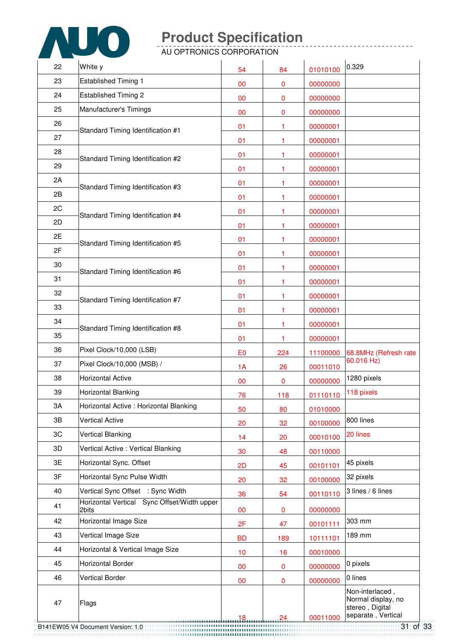

AU OPTRONICS CORPORATION

| 22 | White y                                              | 54             | 84      | 01010100             | 0.329                                                                          |
|----|------------------------------------------------------|----------------|---------|----------------------|--------------------------------------------------------------------------------|
| 23 | <b>Established Timing 1</b>                          | 00             | 0       | 00000000             |                                                                                |
| 24 | <b>Established Timing 2</b>                          | 00             | 0       | 00000000             |                                                                                |
| 25 | Manufacturer's Timings                               | 00             | 0       | 00000000             |                                                                                |
| 26 |                                                      | 01             | 1       | 00000001             |                                                                                |
| 27 | Standard Timing Identification #1                    | 01             | 1       | 00000001             |                                                                                |
| 28 |                                                      | 01             | 1       | 00000001             |                                                                                |
| 29 | Standard Timing Identification #2                    | 01             | 1       | 00000001             |                                                                                |
| 2A |                                                      | 01             | 1       | 00000001             |                                                                                |
| 2B | Standard Timing Identification #3                    | 01             | 1       | 00000001             |                                                                                |
| 2C |                                                      | 01             | 1       | 00000001             |                                                                                |
| 2D | Standard Timing Identification #4                    | 01             | 1       | 00000001             |                                                                                |
| 2E |                                                      | 01             | 1       | 00000001             |                                                                                |
| 2F | Standard Timing Identification #5                    | 01             | 1       | 00000001             |                                                                                |
| 30 |                                                      | 01             | 1       | 00000001             |                                                                                |
| 31 | Standard Timing Identification #6                    | 01             | 1       | 00000001             |                                                                                |
| 32 |                                                      | 01             | 1       | 00000001             |                                                                                |
| 33 | Standard Timing Identification #7                    | 01             | 1       | 00000001             |                                                                                |
| 34 |                                                      | 01             | 1       | 00000001             |                                                                                |
| 35 | Standard Timing Identification #8                    | 01             | 1       | 00000001             |                                                                                |
| 36 | Pixel Clock/10,000 (LSB)                             | E <sub>0</sub> | 224     | 11100000             | 68.8MHz (Refresh rate                                                          |
| 37 | Pixel Clock/10,000 (MSB) /                           | 1A             | 26      | 00011010             | 60.016 Hz)                                                                     |
| 38 | <b>Horizontal Active</b>                             | 00             | 0       | 00000000             | 1280 pixels                                                                    |
| 39 | Horizontal Blanking                                  | 76             | 118     | 01110110             | 118 pixels                                                                     |
| 3A | Horizontal Active: Horizontal Blanking               | 50             | 80      | 01010000             |                                                                                |
| 3B | <b>Vertical Active</b>                               | 20             | 32      | 00100000             | 800 lines                                                                      |
| 3C | <b>Vertical Blanking</b>                             | 14             | 20      | 00010100             | 20 lines                                                                       |
| 3D | Vertical Active : Vertical Blanking                  | 30             | 48      | 00110000             |                                                                                |
| 3E | Horizontal Sync. Offset                              | 2D             | 45      | 00101101             | 45 pixels                                                                      |
| 3F | Horizontal Sync Pulse Width                          | 20             | 32      | 00100000             | 32 pixels                                                                      |
| 40 | Vertical Sync Offset : Sync Width                    | 36             | 54      | 00110110             | 3 lines / 6 lines                                                              |
| 41 | Horizontal Vertical Sync Offset/Width upper<br>2bits |                | 0       |                      |                                                                                |
| 42 | Horizontal Image Size                                | 00             |         | 00000000             | 303 mm                                                                         |
| 43 | Vertical Image Size                                  | 2F             | 47      | 00101111             | 189 mm                                                                         |
| 44 | Horizontal & Vertical Image Size                     | <b>BD</b>      | 189     | 10111101             |                                                                                |
| 45 | <b>Horizontal Border</b>                             | 10             | 16      | 00010000             | 0 pixels                                                                       |
| 46 | <b>Vertical Border</b>                               | 00             | 0       | 00000000             | 0 lines                                                                        |
| 47 | Flags                                                | 00<br>18       | 0<br>24 | 00000000<br>00011000 | Non-interlaced,<br>Normal display, no<br>stereo, Digital<br>separate, Vertical |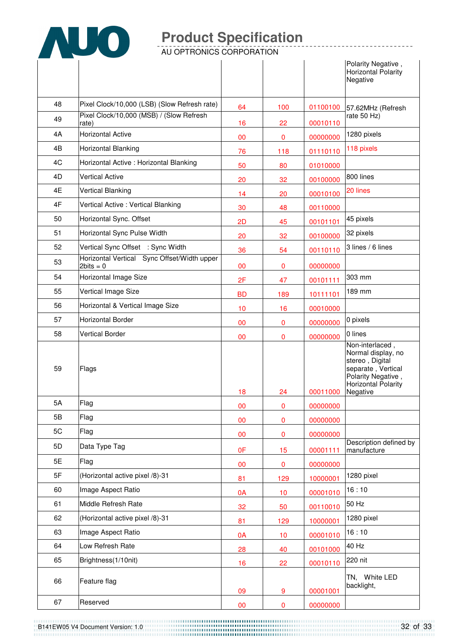

AU OPTRONICS CORPORATION

|    |                                                            |           |     |          | Polarity Negative,<br><b>Horizontal Polarity</b><br>Negative                                                                                   |
|----|------------------------------------------------------------|-----------|-----|----------|------------------------------------------------------------------------------------------------------------------------------------------------|
| 48 | Pixel Clock/10,000 (LSB) (Slow Refresh rate)               | 64        | 100 | 01100100 | 57.62MHz (Refresh                                                                                                                              |
| 49 | Pixel Clock/10,000 (MSB) / (Slow Refresh<br>rate)          | 16        | 22  | 00010110 | rate 50 Hz)                                                                                                                                    |
| 4A | <b>Horizontal Active</b>                                   | 00        | 0   | 00000000 | 1280 pixels                                                                                                                                    |
| 4B | Horizontal Blanking                                        | 76        | 118 | 01110110 | 118 pixels                                                                                                                                     |
| 4C | Horizontal Active: Horizontal Blanking                     | 50        | 80  | 01010000 |                                                                                                                                                |
| 4D | <b>Vertical Active</b>                                     | 20        | 32  | 00100000 | 800 lines                                                                                                                                      |
| 4E | <b>Vertical Blanking</b>                                   | 14        | 20  | 00010100 | 20 lines                                                                                                                                       |
| 4F | Vertical Active: Vertical Blanking                         | 30        | 48  | 00110000 |                                                                                                                                                |
| 50 | Horizontal Sync. Offset                                    | 2D        | 45  | 00101101 | 45 pixels                                                                                                                                      |
| 51 | Horizontal Sync Pulse Width                                | 20        | 32  | 00100000 | 32 pixels                                                                                                                                      |
| 52 | Vertical Sync Offset : Sync Width                          | 36        | 54  | 00110110 | 3 lines / 6 lines                                                                                                                              |
| 53 | Horizontal Vertical Sync Offset/Width upper<br>$2bits = 0$ | 00        | 0   | 00000000 |                                                                                                                                                |
| 54 | Horizontal Image Size                                      | 2F        | 47  | 00101111 | 303 mm                                                                                                                                         |
| 55 | Vertical Image Size                                        | <b>BD</b> | 189 | 10111101 | 189 mm                                                                                                                                         |
| 56 | Horizontal & Vertical Image Size                           | 10        | 16  | 00010000 |                                                                                                                                                |
| 57 | <b>Horizontal Border</b>                                   | 00        | 0   | 00000000 | 0 pixels                                                                                                                                       |
| 58 | <b>Vertical Border</b>                                     | 00        | 0   | 00000000 | 0 lines                                                                                                                                        |
| 59 | Flags                                                      | 18        | 24  | 00011000 | Non-interlaced,<br>Normal display, no<br>stereo, Digital<br>separate, Vertical<br>Polarity Negative,<br><b>Horizontal Polarity</b><br>Negative |
| 5A | Flag                                                       | 00        | 0   | 00000000 |                                                                                                                                                |
| 5B | Flag                                                       | 00        | 0   | 00000000 |                                                                                                                                                |
| 5C | Flag                                                       | 00        | 0   | 00000000 |                                                                                                                                                |
| 5D | Data Type Tag                                              | 0F        | 15  | 00001111 | Description defined by<br>manufacture                                                                                                          |
| 5E | Flag                                                       | $00\,$    | 0   | 00000000 |                                                                                                                                                |
| 5F | (Horizontal active pixel /8)-31                            | 81        | 129 | 10000001 | 1280 pixel                                                                                                                                     |
| 60 | Image Aspect Ratio                                         | 0A        | 10  | 00001010 | 16:10                                                                                                                                          |
| 61 | Middle Refresh Rate                                        | 32        | 50  | 00110010 | 50 Hz                                                                                                                                          |
| 62 | (Horizontal active pixel /8)-31                            | 81        | 129 | 10000001 | 1280 pixel                                                                                                                                     |
| 63 | Image Aspect Ratio                                         | 0A        | 10  | 00001010 | 16:10                                                                                                                                          |
| 64 | Low Refresh Rate                                           | 28        | 40  | 00101000 | 40 Hz                                                                                                                                          |
| 65 | Brightness(1/10nit)                                        | 16        | 22  | 00010110 | 220 nit                                                                                                                                        |
| 66 | Feature flag                                               | 09        | 9   | 00001001 | TN, White LED<br>backlight,                                                                                                                    |
| 67 | Reserved                                                   | 00        | 0   | 00000000 |                                                                                                                                                |

B141EW05 V4 Document Version: 1.0